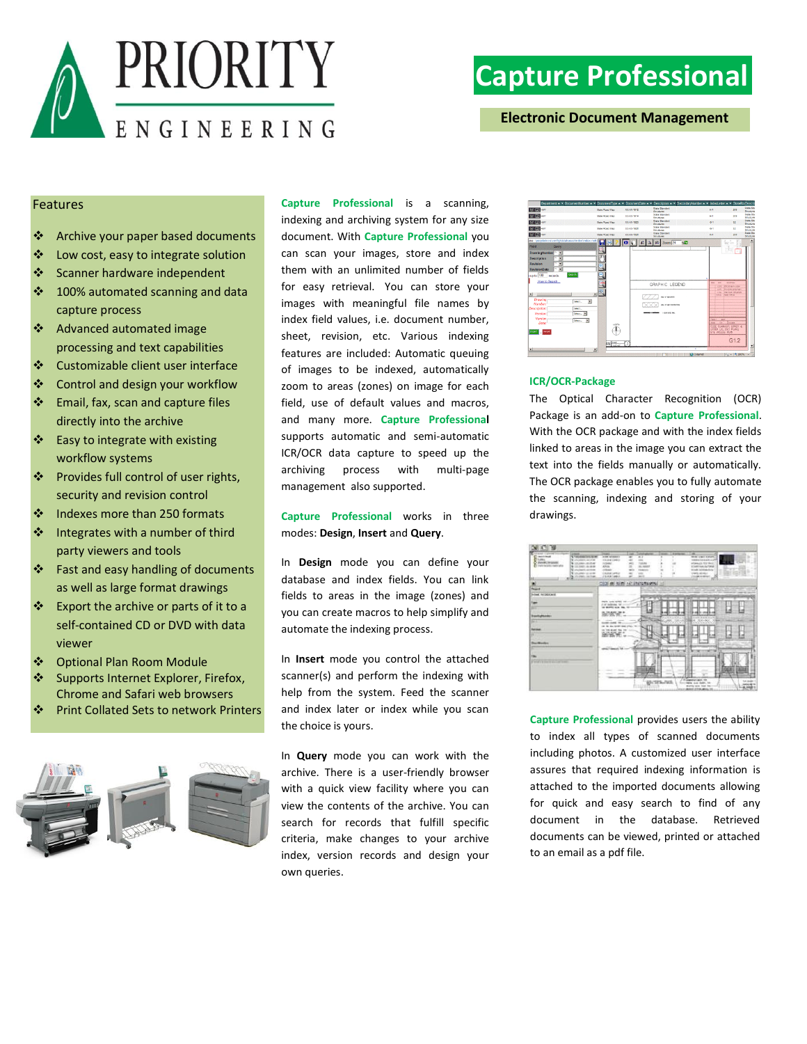

# **Capture Professional**

**Electronic Document Management** 

### Features

- ❖ Archive your paper based documents
- $\cdot \cdot$  Low cost, easy to integrate solution
- Scanner hardware independent
- $\div$  100% automated scanning and data capture process
- ❖ Advanced automated image processing and text capabilities
- ❖ Customizable client user interface
- ❖ Control and design your workflow
- ❖ Email, fax, scan and capture files directly into the archive
- $\mathbf{\hat{P}}$  Easy to integrate with existing workflow systems
- ❖ Provides full control of user rights, security and revision control
- ❖ Indexes more than 250 formats
- $\div$  Integrates with a number of third party viewers and tools
- ❖ Fast and easy handling of documents as well as large format drawings
- $\mathbf{\hat{P}}$  Export the archive or parts of it to a self-contained CD or DVD with data viewer
- ❖ Optional Plan Room Module
- Supports Internet Explorer, Firefox, Chrome and Safari web browsers
- Print Collated Sets to network Printers



**Capture Professional** is a scanning, indexing and archiving system for any size document. With **Capture Professional** you can scan your images, store and index them with an unlimited number of fields for easy retrieval. You can store your images with meaningful file names by index field values, i.e. document number, sheet, revision, etc. Various indexing features are included: Automatic queuing of images to be indexed, automatically zoom to areas (zones) on image for each field, use of default values and macros, and many more. **Capture Professional**  supports automatic and semi-automatic ICR/OCR data capture to speed up the archiving process with multi-page management also supported.

**Capture Professional** works in three modes: **Design**, **Insert** and **Query**.

 database and index fields. You can link In **Design** mode you can define your fields to areas in the image (zones) and you can create macros to help simplify and automate the indexing process.

In **Insert** mode you control the attached scanner(s) and perform the indexing with help from the system. Feed the scanner and index later or index while you scan the choice is yours.

In **Query** mode you can work with the archive. There is a user-friendly browser with a quick view facility where you can view the contents of the archive. You can search for records that fulfill specific criteria, make changes to your archive index, version records and design your own queries.



### **ICR/OCR-Package**

The Optical Character Recognition (OCR) Package is an add-on to **Capture Professional**. With the OCR package and with the index fields linked to areas in the image you can extract the text into the fields manually or automatically. The OCR package enables you to fully automate the scanning, indexing and storing of your drawings.

| <b>SU 100</b>                                                                                                                         |                                                                                                                                                                                      |                                                                                                                                                                     |                            |                                                                           |                          |                                                                                                                                                                                                           |                                                    |
|---------------------------------------------------------------------------------------------------------------------------------------|--------------------------------------------------------------------------------------------------------------------------------------------------------------------------------------|---------------------------------------------------------------------------------------------------------------------------------------------------------------------|----------------------------|---------------------------------------------------------------------------|--------------------------|-----------------------------------------------------------------------------------------------------------------------------------------------------------------------------------------------------------|----------------------------------------------------|
| <b>Enterprises</b><br>deputational<br>Prison.<br>C Sindi Illiano<br>Fore-brunk-registation<br>ш                                       | <b>STAR</b><br><b>L. TURS GOOD FRIENDS BET</b><br>W shouldern applied<br><b>KIDSHIRDS</b><br><b>COUNT-AND</b><br>Constructs as then<br><b>Consension and</b><br>stormer carrier<br>٠ | <b>JOHN MORROY</b><br><b>HAANVING</b><br><b>H.Seleci</b><br>Arkins.<br>crease.<br><b>UARRIVERS</b><br>111111011                                                     | m<br>×<br><b>HELP</b><br>۰ | 311<br>$-1$<br><b>SALES</b><br>ALCOHOL:<br><b>STANDARD</b><br>$-$<br>$-1$ |                          | $+200$<br><b>WAS LIGHT EXAM</b><br>100901016415417<br><b>Information Market</b><br><b>ISLANDIAN AVIONE</b><br><b>Minute autometrician</b><br><b>CARDLINERS</b><br><b><i><u>Installation</u></i></b><br>zd |                                                    |
|                                                                                                                                       |                                                                                                                                                                                      | COOL OR AVEN LE TROUVENESS IT                                                                                                                                       |                            |                                                                           |                          |                                                                                                                                                                                                           |                                                    |
| <b>Passed</b>                                                                                                                         |                                                                                                                                                                                      |                                                                                                                                                                     |                            |                                                                           |                          |                                                                                                                                                                                                           |                                                    |
| <b>MAC NIDECAST</b><br><b>Fair</b><br>ю<br><b><i><u>Inselazionale</u></i></b><br>$\overline{a}$<br><b>Family</b><br>Ħ<br>Distribution |                                                                                                                                                                                      | deaths, come declining<br>F-9" kellerake, 197<br>on dealers, such that<br>BSKYE1<br>-<br><b>SHEER COAST TO</b><br>on its darket last of<br>tracking the to<br>WANC: |                            |                                                                           |                          | コウトログラム                                                                                                                                                                                                   | <br>×                                              |
| <b>FRAME</b><br><b>B</b> STATE & Alan William Company                                                                                 |                                                                                                                                                                                      |                                                                                                                                                                     |                            | - 1907<br>A million de le plus la ca-                                     | <br><b>MATERIAL PACK</b> | <br>-<br>÷<br>/ 41 powerty t port. his<br>manage street dealers, led<br>dealers side loss law.                                                                                                            | <b>CALLED</b><br>top and a<br><b>HOLM</b><br>a sed |

**Capture Professional** provides users the ability to index all types of scanned documents including photos. A customized user interface assures that required indexing information is attached to the imported documents allowing for quick and easy search to find of any document in the database. Retrieved documents can be viewed, printed or attached to an email as a pdf file.